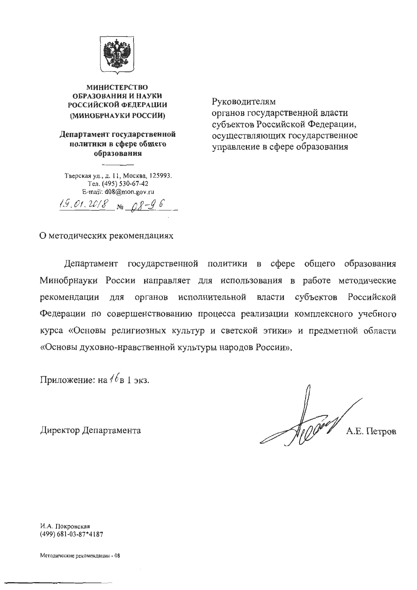

**МИНИСТЕРСТВО** ОБРАЗОВАНИЯ И НАУКИ РОССИЙСКОЙ ФЕЛЕРАЦИИ (МИНОБРНАУКИ РОССИИ)

Департамент государственной политики в сфере общего образования

Тверская ул., д. 11, Москва, 125993. Тел. (495) 530-67-42 E-mail: d08@mon.gov.ru  $19.01.2018$  No  $08-96$ 

Руководителям органов государственной власти субъектов Российской Федерации, осуществляющих государственное управление в сфере образования

О методических рекомендациях

Департамент государственной политики в сфере общего образования Минобрнауки России направляет для использования в работе методические органов исполнительной власти субъектов Российской рекомендации для Федерации по совершенствованию процесса реализации комплексного учебного курса «Основы религиозных культур и светской этики» и предметной области «Основы духовно-нравственной культуры народов России».

Приложение: на  $/6$ в 1 экз.

Директор Департамента

Annaus А.Е. Петров

И.А. Покровская (499) 681-03-87\*4187

Методические рекомендации - 08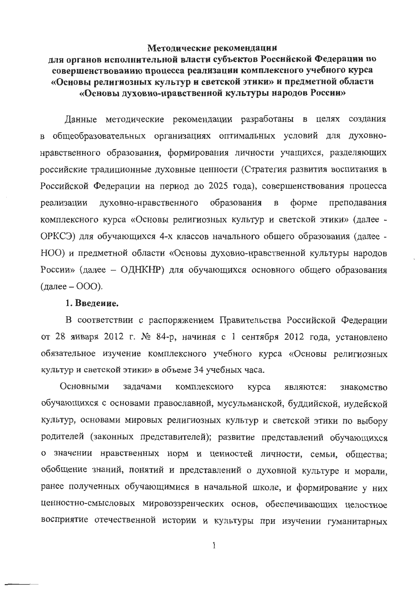#### Методические рекомендации

# для органов исполнительной власти субъектов Российской Федерации по совершенствованию процесса реализации комплексного учебного курса «Основы религиозных культур и светской этики» и предметной области «Основы духовно-нравственной культуры народов России»

Данные методические рекомендации разработаны в целях создания в общеобразовательных организациях оптимальных условий для духовнонравственного образования, формирования личности учащихся, разделяющих российские традиционные духовные ценности (Стратегия развития воспитания в Российской Федерации на период до 2025 года), совершенствования процесса образования реализации духовно-нравственного  $\, {\bf B}$  $\phi$ opme преподавания комплексного курса «Основы религиозных культур и светской этики» (далее -ОРКСЭ) для обучающихся 4-х классов начального общего образования (далее -НОО) и предметной области «Основы духовно-нравственной культуры народов России» (далее - ОДНКНР) для обучающихся основного общего образования  $(Aa \text{mee} - OOO).$ 

## 1. Введение.

В соответствии с распоряжением Правительства Российской Федерации от 28 января 2012 г. № 84-р, начиная с 1 сентября 2012 года, установлено обязательное изучение комплексного учебного курса «Основы религиозных культур и светской этики» в объеме 34 учебных часа.

Основными задачами комплексного курса являются: знакомство обучающихся с основами православной, мусульманской, буддийской, иудейской культур, основами мировых религиозных культур и светской этики по выбору родителей (законных представителей); развитие представлений обучающихся о значении нравственных норм и ценностей личности, семьи, общества; обобщение знаний, понятий и представлений о духовной культуре и морали, ранее полученных обучающимися в начальной школе, и формирование у них ценностно-смысловых мировоззренческих основ, обеспечивающих целостное восприятие отечественной истории и культуры при изучении гуманитарных

 $\mathbf{1}$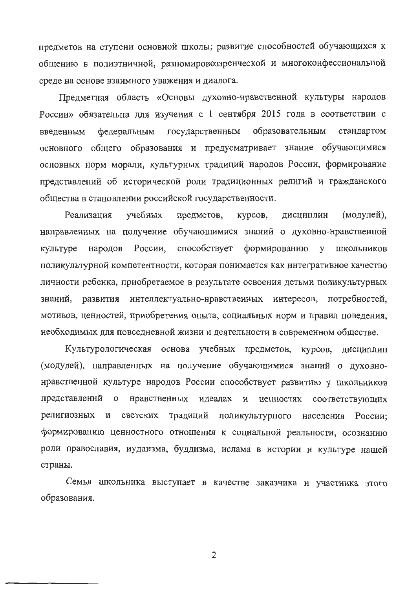предметов на ступени основной школы; развитие способностей обучающихся к общению в полиэтничной, разномировоззренческой и многоконфессиональной среде на основе взаимного уважения и диалога.

Предметная область «Основы духовно-нравственной культуры народов России» обязательна для изучения с 1 сентября 2015 года в соответствии с государственным образовательным стандартом введенным федеральным основного общего образования и предусматривает знание обучающимися основных норм морали, культурных традиций народов России, формирование представлений об исторической роли традиционных религий и гражданского общества в становлении российской государственности.

Реализация учебных предметов, курсов, ДИСЦИПЛИН (модулей), направленных на получение обучающимися знаний о духовно-нравственной народов России, способствует формированию культуре у школьников поликультурной компетентности, которая понимается как интегративное качество личности ребенка, приобретаемое в результате освоения детьми поликультурных знаний. развития интеллектуально-нравственных интересов, потребностей, мотивов, ценностей, приобретения опыта, социальных норм и правил поведения, необходимых для повседневной жизни и деятельности в современном обществе.

Культурологическая основа учебных предметов, курсов, дисциплин (модулей), направленных на получение обучающимися знаний о духовнонравственной культуре народов России способствует развитию у школьников представлений о нравственных идеалах и ценностях соответствующих религиозных и светских традиций поликультурного населения России: формированию ценностного отношения к социальной реальности, осознанию роли православия, иудаизма, буддизма, ислама в истории и культуре нашей страны.

Семья школьника выступает в качестве заказчика и участника этого образования.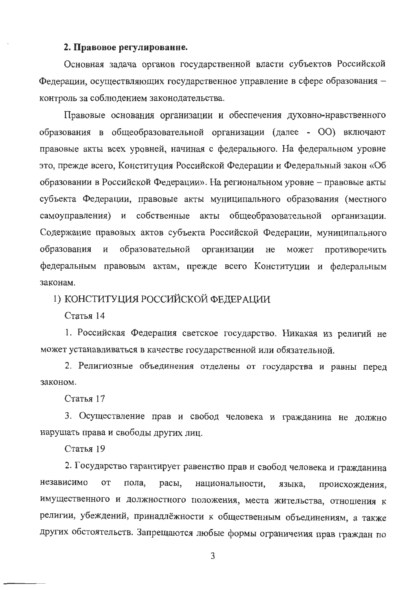#### 2. Правовое регулирование.

Основная задача органов государственной власти субъектов Российской Федерации, осуществляющих государственное управление в сфере образования контроль за соблюдением законодательства.

Правовые основания организации и обеспечения духовно-нравственного образования в общеобразовательной организации (далее - ОО) включают правовые акты всех уровней, начиная с федерального. На федеральном уровне это, прежде всего, Конституция Российской Федерации и Федеральный закон «Об образовании в Российской Федерации». На региональном уровне – правовые акты субъекта Федерации, правовые акты муниципального образования (местного самоуправления) и собственные акты общеобразовательной организации. Содержание правовых актов субъекта Российской Федерации, муниципального образования И образовательной организации не может противоречить федеральным правовым актам, прежде всего Конституции и федеральным законам.

# 1) КОНСТИТУЦИЯ РОССИЙСКОЙ ФЕДЕРАЦИИ

Статья 14

1. Российская Федерация светское государство. Никакая из религий не может устанавливаться в качестве государственной или обязательной.

2. Религиозные объединения отделены от государства и равны перед законом.

Статья 17

3. Осуществление прав и свобод человека и гражданина не должно нарушать права и свободы других лиц.

Статья 19

2. Государство гарантирует равенство прав и свобод человека и гражданина независимо **OT** пола, расы, национальности, языка, происхождения, имущественного и должностного положения, места жительства, отношения к религии, убеждений, принадлёжности к общественным объединениям, а также других обстоятельств. Запрещаются любые формы ограничения прав граждан по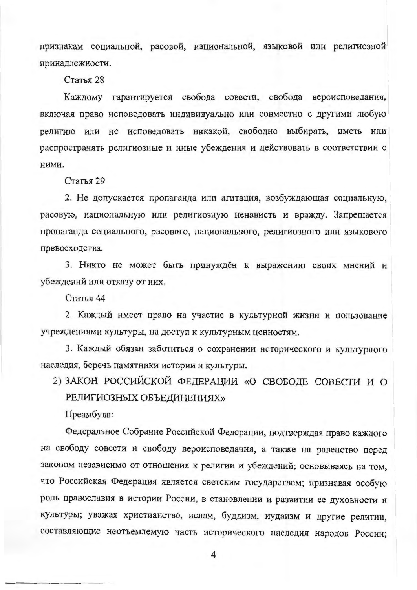признакам социальной, расовой, национальной, языковой или религиозной принадлежности.

Статья 28

Каждому гарантируется свобода совести, свобода вероисповедания, включая право исповедовать индивидуально или совместно с другими любую религию или не исповедовать никакой, свободно выбирать, иметь или распространять религиозные и иные убеждения и действовать в соответствии с ними.

Статья 29

2. Не допускается пропаганда или агитация, возбуждающая социальную, расовую, национальную или религиозную ненависть и вражду. Запрещается пропаганда социального, расового, национального, религиозного или языкового превосходства.

3. Никто не может быть принуждён к выражению своих мнений и убеждений или отказу от них.

Статья 44

2. Каждый имеет право на участие в культурной жизни и пользование учреждениями культуры, на доступ к культурным ценностям.

3. Каждый обязан заботиться о сохранении исторического и культурного наследия, беречь памятники истории и культуры.

2) ЗАКОН РОССИЙСКОЙ ФЕДЕРАЦИИ «О СВОБОДЕ СОВЕСТИ И О РЕЛИГИОЗНЫХ ОБЪЕДИНЕНИЯХ»

Преамбула:

Федеральное Собрание Российской Федерации, подтверждая право каждого на свободу совести и свободу вероисповедания, а также на равенство перед законом независимо от отношения к религии и убеждений; основываясь на том, что Российская Федерация является светским государством; признавая особую роль православия в истории России, в становлении и развитии ее духовности и культуры; уважая христианство, ислам, буддизм, иудаизм и другие религии, составляющие неотъемлемую часть исторического наследия народов России;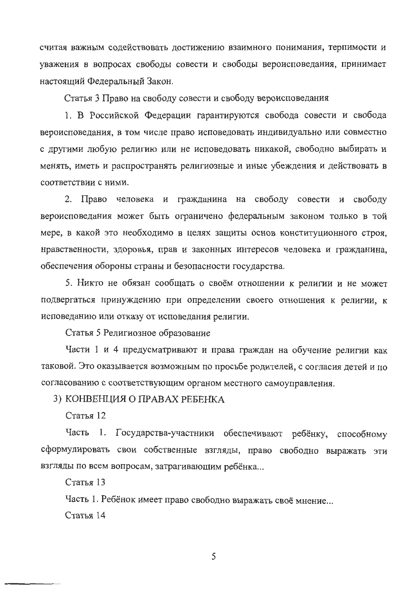считая важным содействовать достижению взаимного понимания, терпимости и уважения в вопросах свободы совести и свободы вероисповедания, принимает настоящий Федеральный Закон.

Статья 3 Право на свободу совести и свободу вероисповедания

1. В Российской Федерации гарантируются свобода совести и свобода вероисповедания, в том числе право исповедовать индивидуально или совместно с другими любую религию или не исповедовать никакой, свободно выбирать и менять, иметь и распространять религиозные и иные убеждения и действовать в соответствии с ними.

2. Право человека и гражданина на свободу совести и свободу вероисповедания может быть ограничено федеральным законом только в той мере, в какой это необходимо в целях защиты основ конституционного строя. нравственности, здоровья, прав и законных интересов человека и гражданина, обеспечения обороны страны и безопасности государства.

5. Никто не обязан сообщать о своём отношении к религии и не может подвергаться принуждению при определении своего отношения к религии, к исповеданию или отказу от исповедания религии.

Статья 5 Религиозное образование

Части 1 и 4 предусматривают и права граждан на обучение религии как таковой. Это оказывается возможным по просьбе родителей, с согласия детей и по согласованию с соответствующим органом местного самоуправления.

## 3) КОНВЕНЦИЯ О ПРАВАХ РЕБЕНКА

Статья 12

Часть 1. Государства-участники обеспечивают ребёнку, способному сформулировать свои собственные взгляды, право свободно выражать эти взгляды по всем вопросам, затрагивающим ребёнка...

Статья 13

Часть 1. Ребёнок имеет право свободно выражать своё мнение...

Статья 14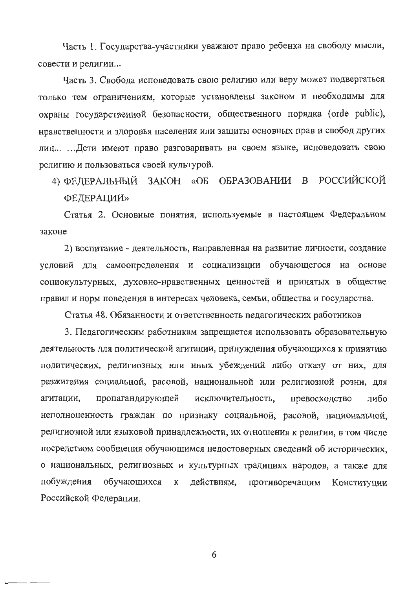Часть 1. Государства-участники уважают право ребенка на свободу мысли, совести и религии...

Часть 3. Свобода исповедовать свою религию или веру может подвергаться только тем ограничениям, которые установлены законом и необходимы для охраны государственной безопасности, общественного порядка (orde public), нравственности и здоровья населения или защиты основных прав и свобод других лиц... ... Дети имеют право разговаривать на своем языке, исповедовать свою религию и пользоваться своей культурой.

4) ФЕДЕРАЛЬНЫЙ ЗАКОН «ОБ ОБРАЗОВАНИИ В РОССИЙСКОЙ **ФЕДЕРАЦИИ»** 

Статья 2. Основные понятия, используемые в настоящем Федеральном законе

2) воспитание - деятельность, направленная на развитие личности, создание условий для самоопределения и социализации обучающегося на основе социокультурных, духовно-нравственных ценностей и принятых в обществе правил и норм поведения в интересах человека, семьи, общества и государства.

Статья 48. Обязанности и ответственность педагогических работников

3. Педагогическим работникам запрещается использовать образовательную деятельность для политической агитации, принуждения обучающихся к принятию политических, религиозных или иных убеждений либо отказу от них, для разжигания социальной, расовой, национальной или религиозной розни, для либо пропагандирующей исключительность, превосходство агитации, неполноценность граждан по признаку социальной, расовой, национальной, религиозной или языковой принадлежности, их отношения к религии, в том числе посредством сообщения обучающимся недостоверных сведений об исторических, о национальных, религиозных и культурных традициях народов, а также для побуждения обучающихся к действиям, противоречащим Конституции Российской Федерации.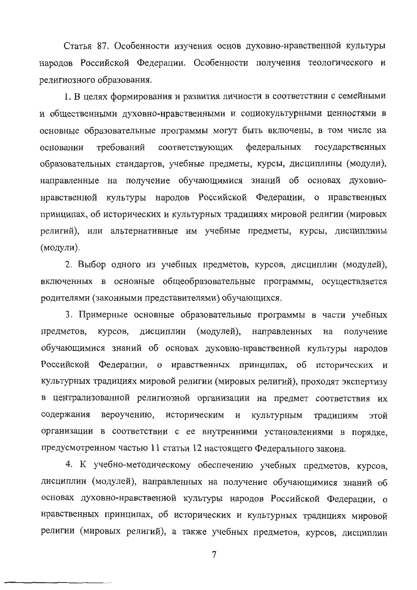Статья 87. Особенности изучения основ духовно-нравственной культуры народов Российской Федерации. Особенности получения теологического и религиозного образования.

1. В целях формирования и развития личности в соответствии с семейными и общественными духовно-нравственными и социокультурными ценностями в основные образовательные программы могут быть включены, в том числе на основании требований соответствующих федеральных государственных образовательных стандартов, учебные предметы, курсы, дисциплины (модули), направленные на получение обучающимися знаний об основах духовнонравственной культуры народов Российской Федерации, о нравственных принципах, об исторических и культурных традициях мировой религии (мировых религий), или альтернативные им учебные предметы, курсы, дисциплины (модули).

2. Выбор одного из учебных предметов, курсов, дисциплин (модулей), включенных в основные общеобразовательные программы, осуществляется родителями (законными представителями) обучающихся.

3. Примерные основные образовательные программы в части учебных предметов, курсов, дисциплин (модулей), направленных на получение обучающимися знаний об основах духовно-нравственной культуры народов Российской Федерации, о нравственных принципах, об исторических и культурных традициях мировой религии (мировых религий), проходят экспертизу в централизованной религиозной организации на предмет соответствия их содержания вероучению, историческим и культурным традициям этой организации в соответствии с ее внутренними установлениями в порядке, предусмотренном частью 11 статьи 12 настоящего Федерального закона.

4. К учебно-методическому обеспечению учебных предметов, курсов, дисциплин (модулей), направленных на получение обучающимися знаний об основах духовно-нравственной культуры народов Российской Федерации, о нравственных принципах, об исторических и культурных традициях мировой религии (мировых религий), а также учебных предметов, курсов, дисциплин

 $\overline{7}$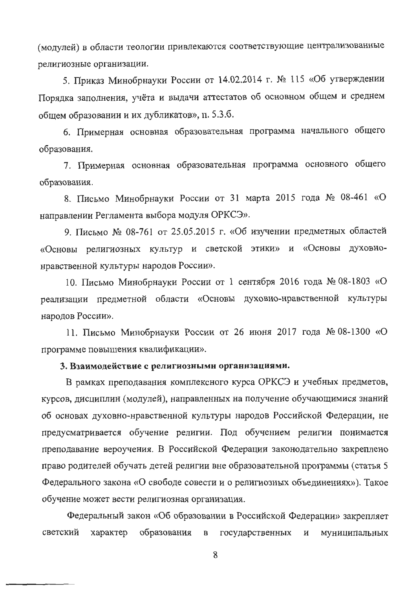(модулей) в области теологии привлекаются соответствующие централизованные религиозные организации.

5. Приказ Минобрнауки России от 14.02.2014 г. № 115 «Об утверждении Порядка заполнения, учёта и выдачи аттестатов об основном общем и среднем общем образовании и их дубликатов», п. 5.3.б.

6. Примерная основная образовательная программа начального общего образования.

7. Примерная основная образовательная программа основного общего образования.

8. Письмо Минобрнауки России от 31 марта 2015 года № 08-461 «О направлении Регламента выбора модуля ОРКСЭ».

9. Письмо № 08-761 от 25.05.2015 г. «Об изучении предметных областей «Основы религиозных культур и светской этики» и «Основы духовнонравственной культуры народов России».

10. Письмо Минобрнауки России от 1 сентября 2016 года № 08-1803 «О реализации предметной области «Основы духовно-нравственной культуры народов России».

11. Письмо Минобрнауки России от 26 июня 2017 года № 08-1300 «О программе повышения квалификации».

#### 3. Взаимодействие с религиозными организациями.

В рамках преподавания комплексного курса ОРКСЭ и учебных предметов, курсов, дисциплин (модулей), направленных на получение обучающимися знаний об основах духовно-нравственной культуры народов Российской Федерации, не предусматривается обучение религии. Под обучением религии понимается преподавание вероучения. В Российской Федерации законодательно закреплено право родителей обучать детей религии вне образовательной программы (статья 5 Федерального закона «О свободе совести и о религиозных объединениях»). Такое обучение может вести религиозная организация.

Федеральный закон «Об образовании в Российской Федерации» закрепляет светский характер образования  $\, {\bf B} \,$ государственных  $\, {\rm H}$ муниципальных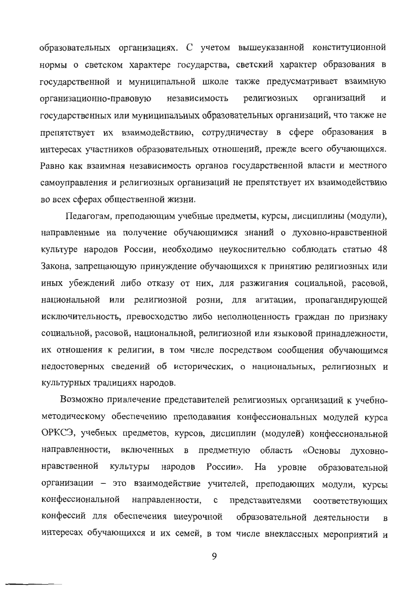образовательных организациях. С учетом вышеуказанной конституционной нормы о светском характере государства, светский характер образования в государственной и муниципальной школе также предусматривает взаимную религиозных организаций организационно-правовую независимость И государственных или муниципальных образовательных организаций, что также не препятствует их взаимодействию, сотрудничеству в сфере образования в интересах участников образовательных отношений, прежде всего обучающихся. Равно как взаимная независимость органов государственной власти и местного самоуправления и религиозных организаций не препятствует их взаимодействию во всех сферах общественной жизни.

Педагогам, преподающим учебные предметы, курсы, дисциплины (модули), направленные на получение обучающимися знаний о духовно-нравственной культуре народов России, необходимо неукоснительно соблюдать статью 48 Закона, запрещающую принуждение обучающихся к принятию религиозных или иных убеждений либо отказу от них, для разжигания социальной, расовой, национальной или религиозной розни, для агитации, пропагандирующей исключительность, превосходство либо неполноценность граждан по признаку социальной, расовой, национальной, религиозной или языковой принадлежности, их отношения к религии, в том числе посредством сообщения обучающимся недостоверных сведений об исторических, о национальных, религиозных и культурных традициях народов.

Возможно привлечение представителей религиозных организаций к учебнометодическому обеспечению преподавания конфессиональных модулей курса ОРКСЭ, учебных предметов, курсов, дисциплин (модулей) конфессиональной направленности, включенных в предметную область «Основы духовнонравственной культуры народов России». Ha уровне образовательной организации - это взаимодействие учителей, преподающих модули, курсы конфессиональной направленности, с представителями соответствующих конфессий для обеспечения внеурочной образовательной деятельности  $\mathbf{B}$ интересах обучающихся и их семей, в том числе внеклассных мероприятий и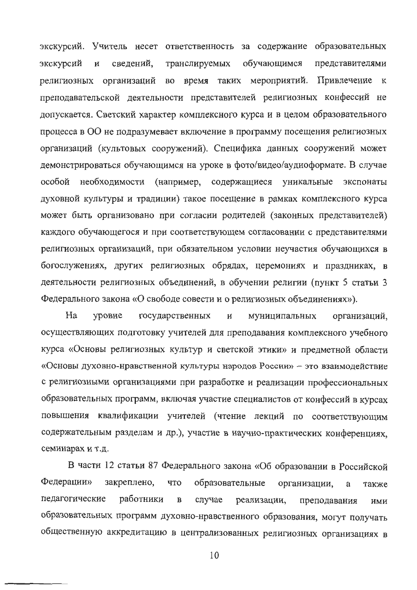экскурсий. Учитель несет ответственность за содержание образовательных транслируемых обучающимся представителями экскурсий  $\mathbf{M}$ сведений, религиозных организаций во время таких мероприятий. Привлечение к преподавательской деятельности представителей религиозных конфессий не допускается. Светский характер комплексного курса и в целом образовательного процесса в ОО не подразумевает включение в программу посещения религиозных организаций (культовых сооружений). Специфика данных сооружений может демонстрироваться обучающимся на уроке в фото/видео/аудиоформате. В случае особой необходимости (например, содержащиеся уникальные экспонаты духовной культуры и традиции) такое посещение в рамках комплексного курса может быть организовано при согласии родителей (законных представителей) каждого обучающегося и при соответствующем согласовании с представителями религиозных организаций, при обязательном условии неучастия обучающихся в богослужениях, других религиозных обрядах, церемониях и праздниках, в деятельности религиозных объединений, в обучении религии (пункт 5 статьи 3 Федерального закона «О свободе совести и о религиозных объединениях»).

 $Ha$ уровне государственных  $\boldsymbol{\mathrm{M}}$ муниципальных организаций, осуществляющих подготовку учителей для преподавания комплексного учебного курса «Основы религиозных культур и светской этики» и предметной области «Основы духовно-нравственной культуры народов России» - это взаимодействие с религиозными организациями при разработке и реализации профессиональных образовательных программ, включая участие специалистов от конфессий в курсах повышения квалификации учителей (чтение лекций по соответствующим содержательным разделам и др.), участие в научно-практических конференциях, семинарах и т.д.

В части 12 статьи 87 Федерального закона «Об образовании в Российской Федерации» закреплено, что образовательные организации, a также педагогические работники  $\, {\bf B}$ случае реализации, преподавания ИМИ образовательных программ духовно-нравственного образования, могут получать общественную аккредитацию в централизованных религиозных организациях в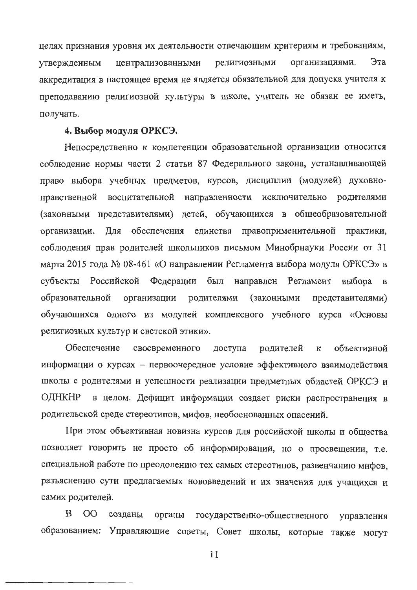целях признания уровня их деятельности отвечающим критериям и требованиям, организациями. Эта религиозными утвержденным централизованными аккредитация в настоящее время не является обязательной для допуска учителя к преподаванию религиозной культуры в школе, учитель не обязан ее иметь, получать.

#### 4. Выбор модуля ОРКСЭ.

Непосредственно к компетенции образовательной организации относится соблюдение нормы части 2 статьи 87 Федерального закона, устанавливающей право выбора учебных предметов, курсов, дисциплин (модулей) духовнонравственной воспитательной направленности исключительно родителями (законными представителями) детей, обучающихся в общеобразовательной Для обеспечения единства правоприменительной практики, организации. соблюдения прав родителей школьников письмом Минобрнауки России от 31 марта 2015 года № 08-461 «О направлении Регламента выбора модуля ОРКСЭ» в субъекты Российской Федерации был направлен Регламент выбора  $\mathbf{B}$ образовательной организации родителями (законными представителями) обучающихся одного из модулей комплексного учебного курса «Основы религиозных культур и светской этики».

Обеспечение своевременного доступа родителей  $\overline{\mathbf{K}}$ объективной информации о курсах - первоочередное условие эффективного взаимодействия школы с родителями и успешности реализации предметных областей ОРКСЭ и ОДНКНР в целом. Дефицит информации создает риски распространения в родительской среде стереотипов, мифов, необоснованных опасений.

При этом объективная новизна курсов для российской школы и общества позволяет говорить не просто об информировании, но о просвещении, т.е. специальной работе по преодолению тех самых стереотипов, развенчанию мифов. разъяснению сути предлагаемых нововведений и их значения для учащихся и самих родителей.

<sub>B</sub>  $OO$ созданы органы государственно-общественного управления образованием: Управляющие советы, Совет школы, которые также могут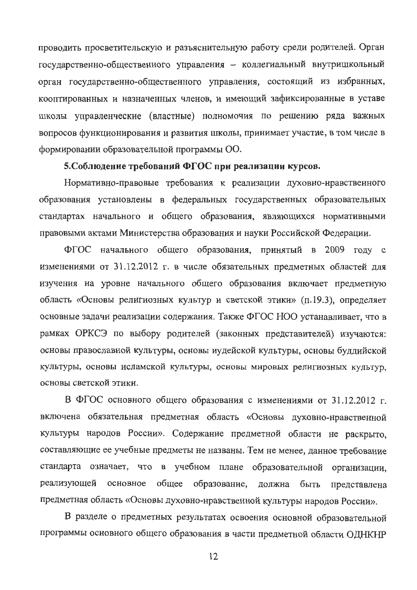проводить просветительскую и разъяснительную работу среди родителей. Орган государственно-общественного управления - коллегиальный внутришкольный орган государственно-общественного управления, состоящий из избранных, кооптированных и назначенных членов, и имеющий зафиксированные в уставе школы управленческие (властные) полномочия по решению ряда важных вопросов функционирования и развития школы, принимает участие, в том числе в формировании образовательной программы ОО.

# 5. Соблюдение требований ФГОС при реализации курсов.

Нормативно-правовые требования к реализации духовно-нравственного образования установлены в федеральных государственных образовательных стандартах начального и общего образования, являющихся нормативными правовыми актами Министерства образования и науки Российской Федерации.

ФГОС начального общего образования, принятый в 2009 году с изменениями от 31.12.2012 г. в числе обязательных предметных областей для изучения на уровне начального общего образования включает предметную область «Основы религиозных культур и светской этики» (п.19.3), определяет основные задачи реализации содержания. Также ФГОС НОО устанавливает, что в рамках ОРКСЭ по выбору родителей (законных представителей) изучаются: основы православной культуры, основы иудейской культуры, основы буддийской культуры, основы исламской культуры, основы мировых религиозных культур, основы светской этики.

В ФГОС основного общего образования с изменениями от 31.12.2012 г. включена обязательная предметная область «Основы духовно-нравственной культуры народов России». Содержание предметной области не раскрыто, составляющие ее учебные предметы не названы. Тем не менее, данное требование стандарта означает, что в учебном плане образовательной организации, реализующей основное общее образование, должна быть представлена предметная область «Основы духовно-нравственной культуры народов России».

В разделе о предметных результатах освоения основной образовательной программы основного общего образования в части предметной области ОДНКНР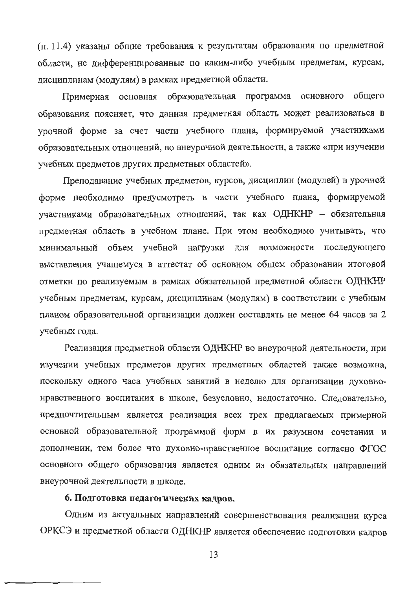(п. 11.4) указаны общие требования к результатам образования по предметной области, не дифференцированные по каким-либо учебным предметам, курсам, дисциплинам (модулям) в рамках предметной области.

Примерная основная образовательная программа основного общего образования поясняет, что данная предметная область может реализоваться в урочной форме за счет части учебного плана, формируемой участниками образовательных отношений, во внеурочной деятельности, а также «при изучении учебных предметов других предметных областей».

Преподавание учебных предметов, курсов, дисциплин (модулей) в урочной форме необходимо предусмотреть в части учебного плана, формируемой участниками образовательных отношений, так как ОДНКНР - обязательная предметная область в учебном плане. При этом необходимо учитывать, что минимальный объем учебной нагрузки для возможности последующего выставления учащемуся в аттестат об основном общем образовании итоговой отметки по реализуемым в рамках обязательной предметной области ОДНКНР учебным предметам, курсам, дисциплинам (модулям) в соответствии с учебным планом образовательной организации должен составлять не менее 64 часов за 2 учебных года.

Реализация предметной области ОДНКНР во внеурочной деятельности, при изучении учебных предметов других предметных областей также возможна, поскольку одного часа учебных занятий в неделю для организации духовнонравственного воспитания в школе, безусловно, недостаточно. Следовательно, предпочтительным является реализация всех трех предлагаемых примерной основной образовательной программой форм в их разумном сочетании и дополнении, тем более что духовно-нравственное воспитание согласно ФГОС основного общего образования является одним из обязательных направлений внеурочной деятельности в школе.

# 6. Подготовка педагогических кадров.

Одним из актуальных направлений совершенствования реализации курса ОРКСЭ и предметной области ОДНКНР является обеспечение подготовки кадров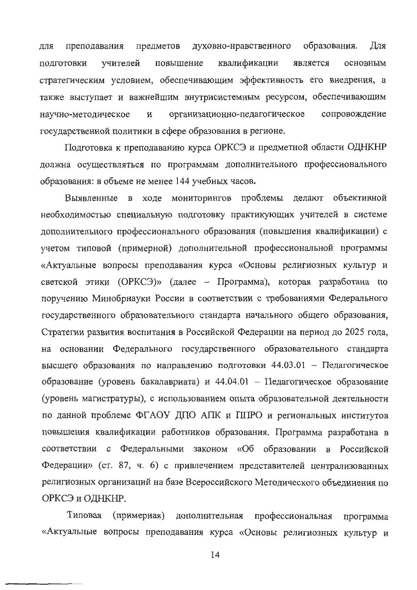духовно-нравственного образования. Лля преподавания предметов для квалификации ПОДГОТОВКИ учителей повышение является основным стратегическим условием, обеспечивающим эффективность его внедрения, а также выступает и важнейшим внутрисистемным ресурсом, обеспечивающим организационно-педагогическое сопровождение научно-методическое  $\mathbf{M}$ государственной политики в сфере образования в регионе.

Подготовка к преподаванию курса ОРКСЭ и предметной области ОДНКНР должна осуществляться по программам дополнительного профессионального образования: в объеме не менее 144 учебных часов.

Выявленные в ходе мониторингов проблемы делают объективной необходимостью специальную подготовку практикующих учителей в системе дополнительного профессионального образования (повышения квалификации) с учетом типовой (примерной) дополнительной профессиональной программы «Актуальные вопросы преподавания курса «Основы религиозных культур и светской этики (ОРКСЭ)» (далее - Программа), которая разработана по поручению Минобрнауки России в соответствии с требованиями Федерального государственного образовательного стандарта начального общего образования, Стратегии развития воспитания в Российской Федерации на период до 2025 года, на основании Федерального государственного образовательного стандарта высшего образования по направлению подготовки 44.03.01 - Педагогическое образование (уровень бакалавриата) и 44.04.01 - Педагогическое образование (уровень магистратуры), с использованием опыта образовательной деятельности по данной проблеме ФГАОУ ДПО АПК и ППРО и региональных институтов повышения квалификации работников образования. Программа разработана в соответствии с Федеральными законом «Об образовании в Российской Федерации» (ст. 87, ч. 6) с привлечением представителей централизованных религиозных организаций на базе Всероссийского Методического объединения по ОРКСЭ и ОДНКНР.

Типовая (примерная) дополнительная профессиональная программа «Актуальные вопросы преподавания курса «Основы религиозных культур и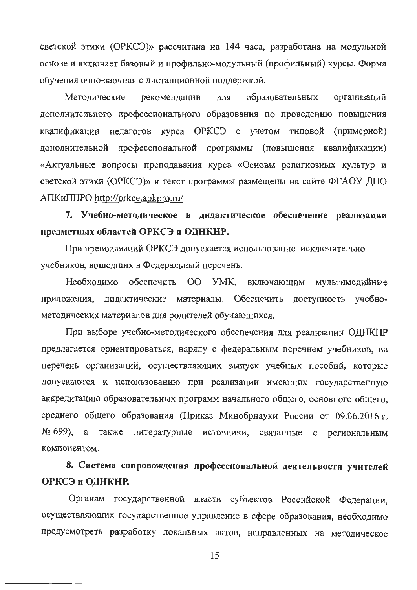светской этики (ОРКСЭ)» рассчитана на 144 часа, разработана на модульной основе и включает базовый и профильно-модульный (профильный) курсы. Форма обучения очно-заочная с дистанционной поддержкой.

организаций рекомендации образовательных Метолические лля дополнительного профессионального образования по проведению повышения квалификации педагогов курса ОРКСЭ с учетом типовой (примерной) дополнительной профессиональной программы (повышения квалификации) «Актуальные вопросы преподавания курса «Основы религиозных культур и светской этики (ОРКСЭ)» и текст программы размещены на сайте ФГАОУ ДПО AIIKuIIIIPO http://orkce.apkpro.ru/

7. Учебно-методическое и дидактическое обеспечение реализации предметных областей ОРКСЭ и ОДНКНР.

При преподаваний ОРКСЭ допускается использование исключительно учебников, вошедших в Федеральный перечень.

Необходимо обеспечить ОО УМК, включающим мультимедийные приложения, дидактические материалы. Обеспечить доступность учебнометодических материалов для родителей обучающихся.

При выборе учебно-методического обеспечения для реализации ОДНКНР предлагается ориентироваться, наряду с федеральным перечнем учебников, на перечень организаций, осуществляющих выпуск учебных пособий, которые допускаются к использованию при реализации имеющих государственную аккредитацию образовательных программ начального общего, основного общего, среднего общего образования (Приказ Минобрнауки России от 09.06.2016 г.  $N_2$  699), а также литературные источники, связанные с региональным компонентом.

# 8. Система сопровождения профессиональной деятельности учителей ОРКСЭ и ОДНКНР.

Органам государственной власти субъектов Российской Федерации, осуществляющих государственное управление в сфере образования, необходимо предусмотреть разработку локальных актов, направленных на методическое